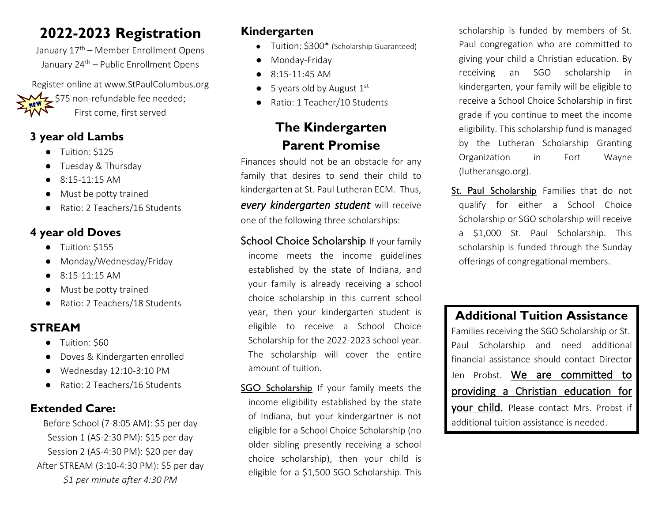# **2022-2023 Registration**

January 17<sup>th</sup> – Member Enrollment Opens January 24<sup>th</sup> – Public Enrollment Opens

Register online at www.StPaulColumbus.org  $\frac{1}{2}$  \$75 non-refundable fee needed; First come, first served

### **3 year old Lambs**

- Tuition: \$125
- Tuesday & Thursday
- $\bullet$  8:15-11:15 AM
- Must be potty trained
- Ratio: 2 Teachers/16 Students

#### **4 year old Doves**

- Tuition: \$155
- Monday/Wednesday/Friday
- $\bullet$  8:15-11:15 AM
- Must be potty trained
- Ratio: 2 Teachers/18 Students

## **STREAM**

- Tuition: \$60
- Doves & Kindergarten enrolled
- Wednesday 12:10-3:10 PM
- Ratio: 2 Teachers/16 Students

### **Extended Care:**

Before School (7-8:05 AM): \$5 per day Session 1 (AS-2:30 PM): \$15 per day Session 2 (AS-4:30 PM): \$20 per day After STREAM (3:10-4:30 PM): \$5 per day *\$1 per minute after 4:30 PM*

## **Kindergarten**

- Tuition: \$300\* (Scholarship Guaranteed)
- Monday-Friday
- $\bullet$  8:15-11:45 AM
- $\bullet$  5 years old by August  $1^{st}$
- Ratio: 1 Teacher/10 Students

# **The Kindergarten Parent Promise**

Finances should not be an obstacle for any family that desires to send their child to kindergarten at St. Paul Lutheran ECM. Thus, *every kindergarten student* will receive one of the following three scholarships:

- School Choice Scholarship If your family income meets the income guidelines established by the state of Indiana, and your family is already receiving a school choice scholarship in this current school year, then your kindergarten student is eligible to receive a School Choice Scholarship for the 2022-2023 school year. The scholarship will cover the entire amount of tuition.
- SGO Scholarship If your family meets the income eligibility established by the state of Indiana, but your kindergartner is not eligible for a School Choice Scholarship (no older sibling presently receiving a school choice scholarship), then your child is eligible for a \$1,500 SGO Scholarship. This

scholarship is funded by members of St. Paul congregation who are committed to giving your child a Christian education. By receiving an SGO scholarship in kindergarten, your family will be eligible to receive a School Choice Scholarship in first grade if you continue to meet the income eligibility. This scholarship fund is managed by the Lutheran Scholarship Granting Organization in Fort Wayne (lutheransgo.org).

St. Paul Scholarship Families that do not qualify for either a School Choice Scholarship or SGO scholarship will receive a \$1,000 St. Paul Scholarship. This scholarship is funded through the Sunday offerings of congregational members.

### **Additional Tuition Assistance**

Families receiving the SGO Scholarship or St. Paul Scholarship and need additional financial assistance should contact Director Jen Probst. We are committed to providing a Christian education for your child. Please contact Mrs. Probst if additional tuition assistance is needed.